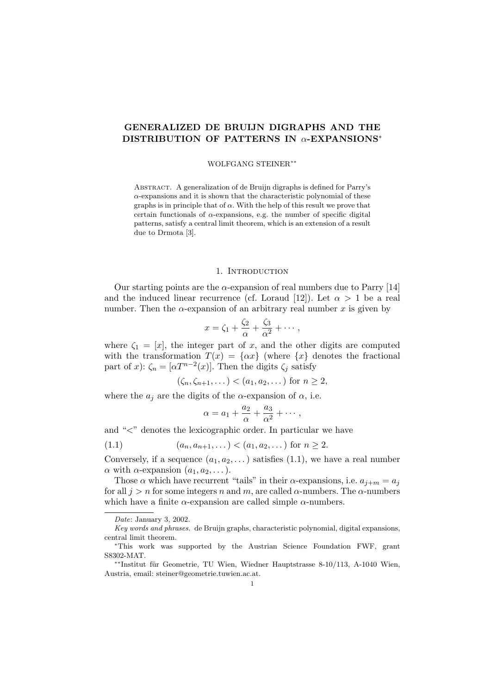# GENERALIZED DE BRUIJN DIGRAPHS AND THE DISTRIBUTION OF PATTERNS IN α-EXPANSIONS<sup>∗</sup>

#### WOLFGANG STEINER∗∗

Abstract. A generalization of de Bruijn digraphs is defined for Parry's  $\alpha$ -expansions and it is shown that the characteristic polynomial of these graphs is in principle that of  $\alpha$ . With the help of this result we prove that certain functionals of  $\alpha$ -expansions, e.g. the number of specific digital patterns, satisfy a central limit theorem, which is an extension of a result due to Drmota [3].

### 1. INTRODUCTION

Our starting points are the  $\alpha$ -expansion of real numbers due to Parry [14] and the induced linear recurrence (cf. Loraud [12]). Let  $\alpha > 1$  be a real number. Then the  $\alpha$ -expansion of an arbitrary real number x is given by

$$
x = \zeta_1 + \frac{\zeta_2}{\alpha} + \frac{\zeta_3}{\alpha^2} + \cdots,
$$

where  $\zeta_1 = [x]$ , the integer part of x, and the other digits are computed with the transformation  $T(x) = \{\alpha x\}$  (where  $\{x\}$  denotes the fractional part of x):  $\zeta_n = [\alpha T^{n-2}(x)]$ . Then the digits  $\zeta_j$  satisfy

$$
(\zeta_n,\zeta_{n+1},\dots)<(a_1,a_2,\dots)
$$
 for  $n\geq 2$ ,

where the  $a_j$  are the digits of the  $\alpha$ -expansion of  $\alpha$ , i.e.

$$
\alpha = a_1 + \frac{a_2}{\alpha} + \frac{a_3}{\alpha^2} + \cdots,
$$

and " $\lt$ " denotes the lexicographic order. In particular we have

$$
(1.1) \qquad (a_n, a_{n+1}, \dots) < (a_1, a_2, \dots) \text{ for } n \ge 2.
$$

Conversely, if a sequence  $(a_1, a_2, \ldots)$  satisfies  $(1.1)$ , we have a real number  $\alpha$  with  $\alpha$ -expansion  $(a_1, a_2, \dots)$ .

Those  $\alpha$  which have recurrent "tails" in their  $\alpha$ -expansions, i.e.  $a_{j+m} = a_j$ for all  $j > n$  for some integers n and m, are called  $\alpha$ -numbers. The  $\alpha$ -numbers which have a finite  $\alpha$ -expansion are called simple  $\alpha$ -numbers.

Date: January 3, 2002.

Key words and phrases. de Bruijn graphs, characteristic polynomial, digital expansions, central limit theorem.

<sup>∗</sup>This work was supported by the Austrian Science Foundation FWF, grant S8302-MAT.

<sup>\*\*</sup>Institut für Geometrie, TU Wien, Wiedner Hauptstrasse 8-10/113, A-1040 Wien, Austria, email: steiner@geometrie.tuwien.ac.at.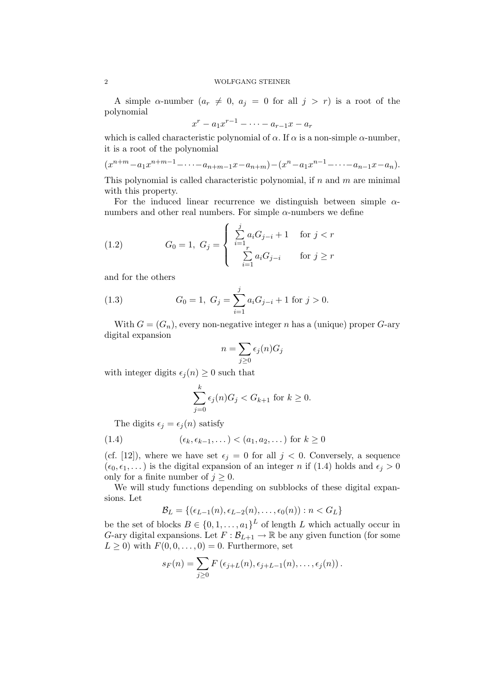A simple  $\alpha$ -number  $(a_r \neq 0, a_j = 0$  for all  $j > r$ ) is a root of the polynomial

$$
x^r - a_1 x^{r-1} - \cdots - a_{r-1} x - a_r
$$

which is called characteristic polynomial of  $\alpha$ . If  $\alpha$  is a non-simple  $\alpha$ -number, it is a root of the polynomial

$$
(x^{n+m}-a_1x^{n+m-1}-\cdots-a_{n+m-1}x-a_{n+m})-(x^n-a_1x^{n-1}-\cdots-a_{n-1}x-a_n).
$$

This polynomial is called characteristic polynomial, if  $n$  and  $m$  are minimal with this property.

For the induced linear recurrence we distinguish between simple  $\alpha$ numbers and other real numbers. For simple  $\alpha$ -numbers we define

(1.2) 
$$
G_0 = 1, G_j = \begin{cases} \sum_{i=1}^j a_i G_{j-i} + 1 & \text{for } j < r \\ \sum_{i=1}^r a_i G_{j-i} & \text{for } j \ge r \end{cases}
$$

and for the others

(1.3) 
$$
G_0 = 1, G_j = \sum_{i=1}^j a_i G_{j-i} + 1 \text{ for } j > 0.
$$

With  $G = (G_n)$ , every non-negative integer n has a (unique) proper G-ary digital expansion

$$
n = \sum_{j \ge 0} \epsilon_j(n) G_j
$$

with integer digits  $\epsilon_i(n) \geq 0$  such that

$$
\sum_{j=0}^{k} \epsilon_j(n) G_j < G_{k+1} \text{ for } k \ge 0.
$$

The digits  $\epsilon_j = \epsilon_j (n)$  satisfy

$$
(1.4) \qquad (\epsilon_k, \epsilon_{k-1}, \dots) < (a_1, a_2, \dots) \text{ for } k \ge 0
$$

(cf. [12]), where we have set  $\epsilon_j = 0$  for all  $j < 0$ . Conversely, a sequence  $(\epsilon_0, \epsilon_1, \dots)$  is the digital expansion of an integer n if (1.4) holds and  $\epsilon_i > 0$ only for a finite number of  $j \geq 0$ .

We will study functions depending on subblocks of these digital expansions. Let

$$
\mathcal{B}_L = \{ (\epsilon_{L-1}(n), \epsilon_{L-2}(n), \ldots, \epsilon_0(n)) : n < G_L \}
$$

be the set of blocks  $B \in \{0, 1, \ldots, a_1\}^L$  of length L which actually occur in G-ary digital expansions. Let  $F : \mathcal{B}_{L+1} \to \mathbb{R}$  be any given function (for some  $L \geq 0$ ) with  $F(0,0,\ldots,0) = 0$ . Furthermore, set

$$
s_F(n) = \sum_{j\geq 0} F\left(\epsilon_{j+L}(n), \epsilon_{j+L-1}(n), \ldots, \epsilon_j(n)\right).
$$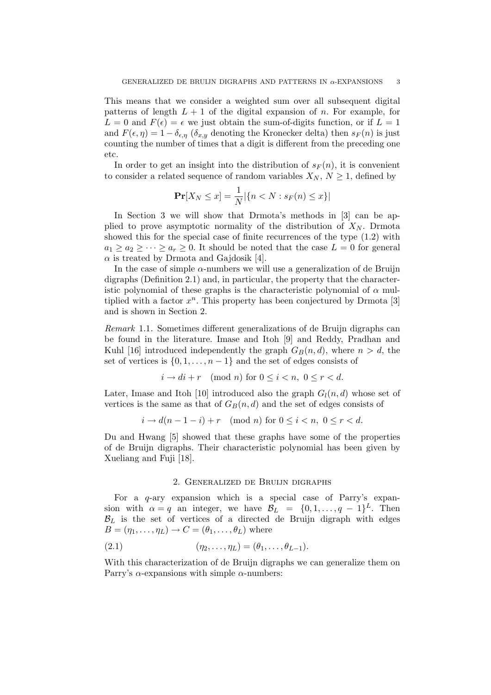This means that we consider a weighted sum over all subsequent digital patterns of length  $L + 1$  of the digital expansion of n. For example, for  $L = 0$  and  $F(\epsilon) = \epsilon$  we just obtain the sum-of-digits function, or if  $L = 1$ and  $F(\epsilon, \eta) = 1 - \delta_{\epsilon, \eta}$  ( $\delta_{x,y}$  denoting the Kronecker delta) then  $s_F(n)$  is just counting the number of times that a digit is different from the preceding one etc.

In order to get an insight into the distribution of  $s_F(n)$ , it is convenient to consider a related sequence of random variables  $X_N, N \geq 1$ , defined by

$$
\Pr[X_N \le x] = \frac{1}{N} |\{n < N : s_F(n) \le x\}|
$$

In Section 3 we will show that Drmota's methods in [3] can be applied to prove asymptotic normality of the distribution of  $X_N$ . Drmota showed this for the special case of finite recurrences of the type (1.2) with  $a_1 \geq a_2 \geq \cdots \geq a_r \geq 0$ . It should be noted that the case  $L = 0$  for general  $\alpha$  is treated by Drmota and Gajdosik [4].

In the case of simple  $\alpha$ -numbers we will use a generalization of de Bruijn digraphs (Definition 2.1) and, in particular, the property that the characteristic polynomial of these graphs is the characteristic polynomial of  $\alpha$  multiplied with a factor  $x^n$ . This property has been conjectured by Drmota [3] and is shown in Section 2.

Remark 1.1. Sometimes different generalizations of de Bruijn digraphs can be found in the literature. Imase and Itoh [9] and Reddy, Pradhan and Kuhl [16] introduced independently the graph  $G_B(n, d)$ , where  $n > d$ , the set of vertices is  $\{0, 1, \ldots, n-1\}$  and the set of edges consists of

$$
i \to di + r \pmod{n} \text{ for } 0 \le i < n, \ 0 \le r < d.
$$

Later, Imase and Itoh [10] introduced also the graph  $G_l(n, d)$  whose set of vertices is the same as that of  $G_B(n, d)$  and the set of edges consists of

$$
i \to d(n-1-i) + r \pmod{n} \text{ for } 0 \le i < n, \ 0 \le r < d.
$$

Du and Hwang [5] showed that these graphs have some of the properties of de Bruijn digraphs. Their characteristic polynomial has been given by Xueliang and Fuji [18].

## 2. Generalized de Bruijn digraphs

For a q-ary expansion which is a special case of Parry's expansion with  $\alpha = q$  an integer, we have  $\mathcal{B}_L = \{0, 1, \ldots, q-1\}^L$ . Then  $\mathcal{B}_L$  is the set of vertices of a directed de Bruijn digraph with edges  $B = (\eta_1, \ldots, \eta_L) \rightarrow C = (\theta_1, \ldots, \theta_L)$  where

(2.1) 
$$
(\eta_2, ..., \eta_L) = (\theta_1, ..., \theta_{L-1}).
$$

With this characterization of de Bruijn digraphs we can generalize them on Parry's  $\alpha$ -expansions with simple  $\alpha$ -numbers: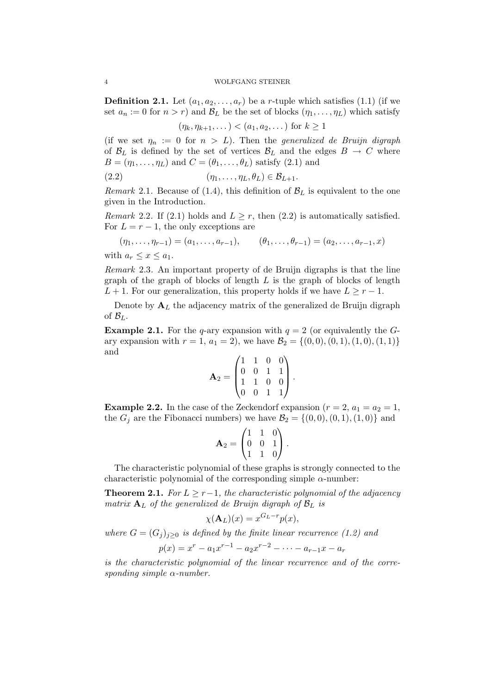**Definition 2.1.** Let  $(a_1, a_2, \ldots, a_r)$  be a *r*-tuple which satisfies (1.1) (if we set  $a_n := 0$  for  $n > r$ ) and  $\mathcal{B}_L$  be the set of blocks  $(\eta_1, \ldots, \eta_L)$  which satisfy

$$
(\eta_k, \eta_{k+1}, \dots) < (a_1, a_2, \dots)
$$
 for  $k \ge 1$ 

(if we set  $\eta_n := 0$  for  $n > L$ ). Then the generalized de Bruijn digraph of  $\mathcal{B}_L$  is defined by the set of vertices  $\mathcal{B}_L$  and the edges  $B \to C$  where  $B = (\eta_1, \ldots, \eta_L)$  and  $C = (\theta_1, \ldots, \theta_L)$  satisfy (2.1) and

$$
(2.2) \qquad (\eta_1, \ldots, \eta_L, \theta_L) \in \mathcal{B}_{L+1}.
$$

Remark 2.1. Because of (1.4), this definition of  $\mathcal{B}_L$  is equivalent to the one given in the Introduction.

Remark 2.2. If (2.1) holds and  $L \geq r$ , then (2.2) is automatically satisfied. For  $L = r - 1$ , the only exceptions are

$$
(\eta_1, \ldots, \eta_{r-1}) = (a_1, \ldots, a_{r-1}), \qquad (\theta_1, \ldots, \theta_{r-1}) = (a_2, \ldots, a_{r-1}, x)
$$

with  $a_r \leq x \leq a_1$ .

Remark 2.3. An important property of de Bruijn digraphs is that the line graph of the graph of blocks of length  $L$  is the graph of blocks of length  $L + 1$ . For our generalization, this property holds if we have  $L \geq r - 1$ .

Denote by  $A_L$  the adjacency matrix of the generalized de Bruijn digraph of  $\mathcal{B}_L$ .

**Example 2.1.** For the q-ary expansion with  $q = 2$  (or equivalently the Gary expansion with  $r = 1$ ,  $a_1 = 2$ ), we have  $\mathcal{B}_2 = \{(0,0), (0, 1), (1, 0), (1, 1)\}\$ and

$$
\mathbf{A}_2 = \begin{pmatrix} 1 & 1 & 0 & 0 \\ 0 & 0 & 1 & 1 \\ 1 & 1 & 0 & 0 \\ 0 & 0 & 1 & 1 \end{pmatrix}.
$$

**Example 2.2.** In the case of the Zeckendorf expansion  $(r = 2, a_1 = a_2 = 1,$ the  $G_j$  are the Fibonacci numbers) we have  $\mathcal{B}_2 = \{(0,0), (0,1), (1,0)\}\$  and

$$
\mathbf{A}_2 = \begin{pmatrix} 1 & 1 & 0 \\ 0 & 0 & 1 \\ 1 & 1 & 0 \end{pmatrix}.
$$

The characteristic polynomial of these graphs is strongly connected to the characteristic polynomial of the corresponding simple  $\alpha$ -number:

**Theorem 2.1.** For  $L \geq r-1$ , the characteristic polynomial of the adjacency matrix  $A_L$  of the generalized de Bruijn digraph of  $B_L$  is

$$
\chi(\mathbf{A}_L)(x) = x^{G_L - r} p(x),
$$

where  $G = (G_i)_{i \geq 0}$  is defined by the finite linear recurrence (1.2) and  $p(x) = x^{r} - a_1 x^{r-1} - a_2 x^{r-2} - \cdots - a_{r-1} x - a_r$ 

is the characteristic polynomial of the linear recurrence and of the corresponding simple  $\alpha$ -number.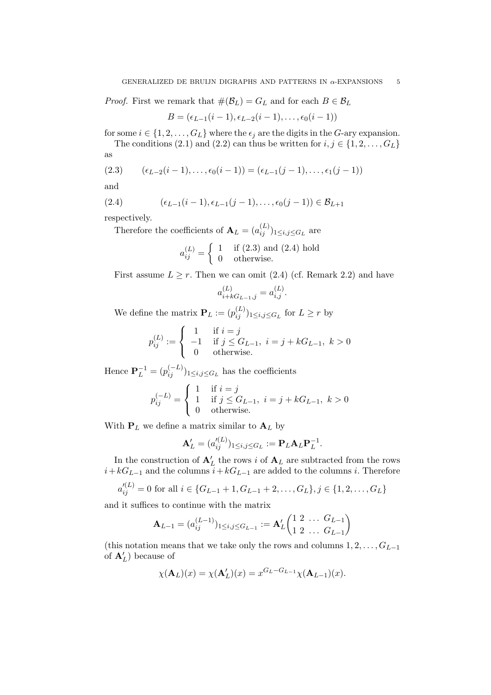*Proof.* First we remark that  $\#(\mathcal{B}_L) = G_L$  and for each  $B \in \mathcal{B}_L$ 

$$
B=(\epsilon_{L-1}(i-1),\epsilon_{L-2}(i-1),\ldots,\epsilon_0(i-1))
$$

for some  $i \in \{1, 2, \ldots, G_L\}$  where the  $\epsilon_j$  are the digits in the G-ary expansion.

The conditions (2.1) and (2.2) can thus be written for  $i, j \in \{1, 2, \ldots, G_L\}$ as

(2.3) 
$$
(\epsilon_{L-2}(i-1),...,\epsilon_0(i-1)) = (\epsilon_{L-1}(j-1),...,\epsilon_1(j-1))
$$

and

(2.4) 
$$
(\epsilon_{L-1}(i-1), \epsilon_{L-1}(j-1), \ldots, \epsilon_0(j-1)) \in \mathcal{B}_{L+1}
$$

respectively.

Therefore the coefficients of  $\mathbf{A}_L = (a_{ij}^{(L)})_{1 \le i,j \le G_L}$  are

$$
a_{ij}^{(L)} = \begin{cases} 1 & \text{if (2.3) and (2.4) hold} \\ 0 & \text{otherwise.} \end{cases}
$$

First assume  $L \geq r$ . Then we can omit (2.4) (cf. Remark 2.2) and have

$$
a_{i+kG_{L-1},j}^{(L)} = a_{i,j}^{(L)}.
$$

We define the matrix  $\mathbf{P}_L := (p_{ij}^{(L)})_{1 \le i,j \le G_L}$  for  $L \ge r$  by

$$
p_{ij}^{(L)} := \begin{cases} 1 & \text{if } i = j \\ -1 & \text{if } j \leq G_{L-1}, i = j + kG_{L-1}, k > 0 \\ 0 & \text{otherwise.} \end{cases}
$$

Hence  $\mathbf{P}_L^{-1} = (p_{ij}^{(-L)})_{1 \le i,j \le G_L}$  has the coefficients

$$
p_{ij}^{(-L)} = \begin{cases} 1 & \text{if } i = j \\ 1 & \text{if } j \le G_{L-1}, i = j + kG_{L-1}, k > 0 \\ 0 & \text{otherwise.} \end{cases}
$$

With  $P_L$  we define a matrix similar to  $A_L$  by

$$
\mathbf{A}'_L = (a'^{(L)}_{ij})_{1 \le i,j \le G_L} := \mathbf{P}_L \mathbf{A}_L \mathbf{P}_L^{-1}.
$$

In the construction of  $\mathbf{A}'_L$  the rows i of  $\mathbf{A}_L$  are subtracted from the rows  $i+kG_{L-1}$  and the columns  $i+kG_{L-1}$  are added to the columns i. Therefore

$$
a_{ij}^{\prime(L)} = 0 \text{ for all } i \in \{G_{L-1} + 1, G_{L-1} + 2, \dots, G_L\}, j \in \{1, 2, \dots, G_L\}
$$

and it suffices to continue with the matrix

$$
\mathbf{A}_{L-1} = (a_{ij}^{(L-1)})_{1 \le i,j \le G_{L-1}} := \mathbf{A}'_L \begin{pmatrix} 1 & 2 & \dots & G_{L-1} \\ 1 & 2 & \dots & G_{L-1} \end{pmatrix}
$$

(this notation means that we take only the rows and columns  $1, 2, \ldots, G_{L-1}$ ) of  $\mathbf{A}'_L$ ) because of

$$
\chi(\mathbf{A}_L)(x) = \chi(\mathbf{A}'_L)(x) = x^{G_L - G_{L-1}} \chi(\mathbf{A}_{L-1})(x).
$$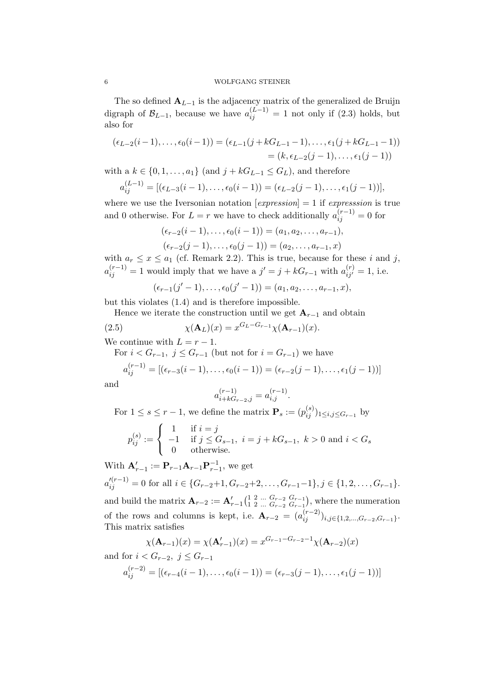The so defined  $\mathbf{A}_{L-1}$  is the adjacency matrix of the generalized de Bruijn digraph of  $\mathcal{B}_{L-1}$ , because we have  $a_{ij}^{(L-1)} = 1$  not only if (2.3) holds, but also for

$$
(\epsilon_{L-2}(i-1), \ldots, \epsilon_0(i-1)) = (\epsilon_{L-1}(j + kG_{L-1} - 1), \ldots, \epsilon_1(j + kG_{L-1} - 1))
$$
  
=  $(k, \epsilon_{L-2}(j-1), \ldots, \epsilon_1(j-1))$ 

with a  $k \in \{0, 1, \ldots, a_1\}$  (and  $j + kG_{L-1} \leq G_L$ ), and therefore

$$
a_{ij}^{(L-1)} = [(\epsilon_{L-3}(i-1), \ldots, \epsilon_0(i-1)) = (\epsilon_{L-2}(j-1), \ldots, \epsilon_1(j-1))],
$$

where we use the Iversonian notation  $[expression] = 1$  if *expression* is true and 0 otherwise. For  $L = r$  we have to check additionally  $a_{ij}^{(r-1)} = 0$  for

$$
(\epsilon_{r-2}(i-1), \ldots, \epsilon_0(i-1)) = (a_1, a_2, \ldots, a_{r-1}),
$$
  

$$
(\epsilon_{r-2}(j-1), \ldots, \epsilon_0(j-1)) = (a_2, \ldots, a_{r-1}, x)
$$

with  $a_r \leq x \leq a_1$  (cf. Remark 2.2). This is true, because for these i and j,  $a_{ij}^{(r-1)} = 1$  would imply that we have a  $j' = j + kG_{r-1}$  with  $a_{ij'}^{(r)} = 1$ , i.e.

$$
(\epsilon_{r-1}(j'-1),\ldots,\epsilon_0(j'-1))=(a_1,a_2,\ldots,a_{r-1},x),
$$

but this violates (1.4) and is therefore impossible.

Hence we iterate the construction until we get  $A_{r-1}$  and obtain

(2.5) 
$$
\chi(\mathbf{A}_L)(x) = x^{G_L - G_{r-1}} \chi(\mathbf{A}_{r-1})(x).
$$

We continue with  $L = r - 1$ .

For  $i < G_{r-1}$ ,  $j \leq G_{r-1}$  (but not for  $i = G_{r-1}$ ) we have

$$
a_{ij}^{(r-1)} = [(\epsilon_{r-3}(i-1), \ldots, \epsilon_0(i-1)) = (\epsilon_{r-2}(j-1), \ldots, \epsilon_1(j-1))]
$$

and

$$
a_{i+kG_{r-2},j}^{(r-1)} = a_{i,j}^{(r-1)}.
$$

For  $1 \leq s \leq r-1$ , we define the matrix  $\mathbf{P}_s := (p_{ij}^{(s)})_{1 \leq i,j \leq G_{r-1}}$  by

$$
p_{ij}^{(s)} := \begin{cases} 1 & \text{if } i = j \\ -1 & \text{if } j \leq G_{s-1}, \ i = j + kG_{s-1}, \ k > 0 \text{ and } i < G_s \\ 0 & \text{otherwise.} \end{cases}
$$

With  $\mathbf{A}_{r-1}^{\prime} := \mathbf{P}_{r-1} \mathbf{A}_{r-1} \mathbf{P}_{r-1}^{-1}$ , we get  $a'_{ij}^{(r-1)} = 0$  for all  $i \in \{G_{r-2}+1, G_{r-2}+2, \ldots, G_{r-1}-1\}, j \in \{1, 2, \ldots, G_{r-1}\}.$ and build the matrix  ${\bf A}_{r-2} := {\bf A}'_{r-1} \begin{pmatrix} 1 & 2 & ... & G_{r-2} & G_{r-1} \\ 1 & 2 & ... & G_{r-2} & G_{r-1} \end{pmatrix}$  $\frac{1}{1}$   $\frac{2}{2}$  ...  $G_{r-2}$   $G_{r-1}$ , where the numeration of the rows and columns is kept, i.e.  $\mathbf{A}_{r-2} = (a_{ij}^{(r-2)})_{i,j \in \{1,2,\dots,G_{r-2},G_{r-1}\}}$ . This matrix satisfies

$$
\chi(\mathbf{A}_{r-1})(x) = \chi(\mathbf{A}_{r-1}')(x) = x^{G_{r-1} - G_{r-2} - 1} \chi(\mathbf{A}_{r-2})(x)
$$
  
and for  $i < G_{r-2}$ ,  $j \le G_{r-1}$ 

$$
a_{ij}^{(r-2)} = [(\epsilon_{r-4}(i-1), \ldots, \epsilon_0(i-1)) = (\epsilon_{r-3}(j-1), \ldots, \epsilon_1(j-1))]
$$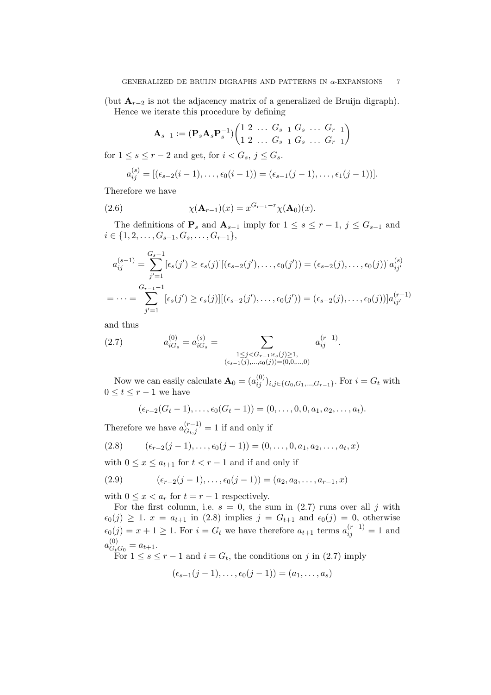(but  $\mathbf{A}_{r-2}$  is not the adjacency matrix of a generalized de Bruijn digraph). Hence we iterate this procedure by defining

$$
\mathbf{A}_{s-1} := (\mathbf{P}_s \mathbf{A}_s \mathbf{P}_s^{-1}) \begin{pmatrix} 1 & 2 & \dots & G_{s-1} & G_s & \dots & G_{r-1} \\ 1 & 2 & \dots & G_{s-1} & G_s & \dots & G_{r-1} \end{pmatrix}
$$

for  $1 \leq s \leq r-2$  and get, for  $i < G_s$ ,  $j \leq G_s$ .

$$
a_{ij}^{(s)} = [(\epsilon_{s-2}(i-1), \ldots, \epsilon_0(i-1)) = (\epsilon_{s-1}(j-1), \ldots, \epsilon_1(j-1))].
$$

Therefore we have

(2.6) 
$$
\chi(\mathbf{A}_{r-1})(x) = x^{G_{r-1}-r}\chi(\mathbf{A}_0)(x).
$$

The definitions of  $\mathbf{P}_s$  and  $\mathbf{A}_{s-1}$  imply for  $1 \leq s \leq r-1$ ,  $j \leq G_{s-1}$  and  $i \in \{1, 2, \ldots, G_{s-1}, G_s, \ldots, G_{r-1}\},\$ 

$$
a_{ij}^{(s-1)} = \sum_{j'=1}^{G_s-1} [\epsilon_s(j') \ge \epsilon_s(j)][(\epsilon_{s-2}(j'), \dots, \epsilon_0(j')) = (\epsilon_{s-2}(j), \dots, \epsilon_0(j))]a_{ij'}^{(s)}
$$
  
= 
$$
\cdots = \sum_{j'=1}^{G_{r-1}-1} [\epsilon_s(j') \ge \epsilon_s(j)][(\epsilon_{s-2}(j'), \dots, \epsilon_0(j')) = (\epsilon_{s-2}(j), \dots, \epsilon_0(j))]a_{ij'}^{(r-1)}
$$

and thus

(2.7) 
$$
a_{iG_s}^{(0)} = a_{iG_s}^{(s)} = \sum_{\substack{1 \le j < G_{r-1} : \epsilon_s(j) \ge 1, \\ (\epsilon_{s-1}(j), \ldots, \epsilon_0(j)) = (0, 0, \ldots, 0)}} a_{ij}^{(r-1)}.
$$

Now we can easily calculate  $\mathbf{A}_0 = (a_{ij}^{(0)})_{i,j \in \{G_0, G_1, ..., G_{r-1}\}}$ . For  $i = G_t$  with  $0 \leq t \leq r-1$  we have

$$
(\epsilon_{r-2}(G_t-1),\ldots,\epsilon_0(G_t-1))=(0,\ldots,0,0,a_1,a_2,\ldots,a_t).
$$

Therefore we have  $a_{G_t,j}^{(r-1)} = 1$  if and only if

(2.8) 
$$
(\epsilon_{r-2}(j-1), \ldots, \epsilon_0(j-1)) = (0, \ldots, 0, a_1, a_2, \ldots, a_t, x)
$$

with  $0 \leq x \leq a_{t+1}$  for  $t < r-1$  and if and only if

(2.9) 
$$
(\epsilon_{r-2}(j-1), \ldots, \epsilon_0(j-1)) = (a_2, a_3, \ldots, a_{r-1}, x)
$$

with  $0 \leq x < a_r$  for  $t = r - 1$  respectively.

For the first column, i.e.  $s = 0$ , the sum in (2.7) runs over all j with  $\epsilon_0(j) \geq 1$ .  $x = a_{t+1}$  in (2.8) implies  $j = G_{t+1}$  and  $\epsilon_0(j) = 0$ , otherwise  $\epsilon_0(j) = x + 1 \geq 1$ . For  $i = G_t$  we have therefore  $a_{t+1}$  terms  $a_{ij}^{(r-1)} = 1$  and  $a_{G_t}^{(0)}$  $G_tG_0 = a_{t+1}.$ 

For  $1 \leq s \leq r-1$  and  $i = G_t$ , the conditions on j in (2.7) imply

$$
(\epsilon_{s-1}(j-1),\ldots,\epsilon_0(j-1))=(a_1,\ldots,a_s)
$$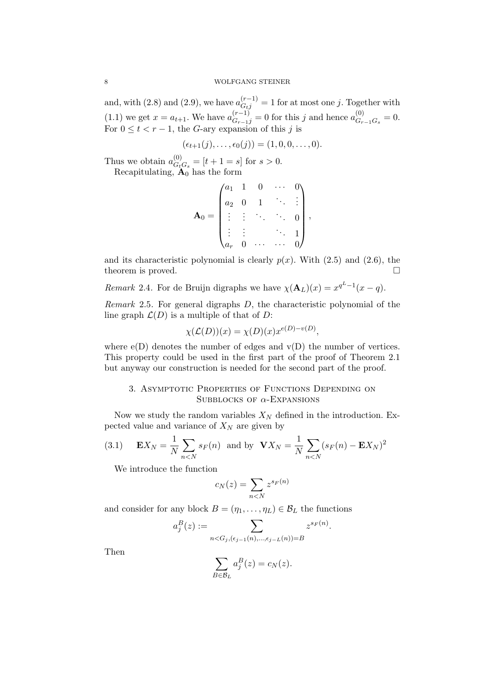and, with (2.8) and (2.9), we have  $a_{Gij}^{(r-1)} = 1$  for at most one j. Together with (1.1) we get  $x = a_{t+1}$ . We have  $a_{G_{r-1}j}^{(r-1)} = 0$  for this j and hence  $a_{G_r}^{(0)}$  $G_{r-1}G_s = 0.$ For  $0 \leq t < r - 1$ , the G-ary expansion of this j is

$$
(\epsilon_{t+1}(j),\ldots,\epsilon_0(j))=(1,0,0,\ldots,0).
$$

Thus we obtain  $a_{G}^{(0)}$  $G_{t}^{(0)}$  =  $[t+1] = s$  for  $s > 0$ .

Recapitulating,  $\mathbf{A}_0$  has the form

$$
\mathbf{A}_0 = \begin{pmatrix} a_1 & 1 & 0 & \cdots & 0 \\ a_2 & 0 & 1 & \ddots & \vdots \\ \vdots & \vdots & \ddots & \ddots & 0 \\ \vdots & \vdots & & \ddots & 1 \\ a_r & 0 & \cdots & \cdots & 0 \end{pmatrix},
$$

and its characteristic polynomial is clearly  $p(x)$ . With  $(2.5)$  and  $(2.6)$ , the theorem is proved.

Remark 2.4. For de Bruijn digraphs we have  $\chi(\mathbf{A}_L)(x) = x^{q^L-1}(x-q)$ .

Remark 2.5. For general digraphs D, the characteristic polynomial of the line graph  $\mathcal{L}(D)$  is a multiple of that of D:

$$
\chi(\mathcal{L}(D))(x) = \chi(D)(x) x^{e(D)-v(D)},
$$

where  $e(D)$  denotes the number of edges and  $v(D)$  the number of vertices. This property could be used in the first part of the proof of Theorem 2.1 but anyway our construction is needed for the second part of the proof.

# 3. Asymptotic Properties of Functions Depending on SUBBLOCKS OF  $\alpha$ -EXPANSIONS

Now we study the random variables  $X_N$  defined in the introduction. Expected value and variance of  $X_N$  are given by

(3.1) 
$$
\mathbf{E}X_N = \frac{1}{N} \sum_{n < N} s_F(n)
$$
 and by  $\mathbf{V}X_N = \frac{1}{N} \sum_{n < N} (s_F(n) - \mathbf{E}X_N)^2$ 

We introduce the function

$$
c_N(z) = \sum_{n < N} z^{s_F(n)}
$$

and consider for any block  $B = (\eta_1, \dots, \eta_L) \in \mathcal{B}_L$  the functions

$$
a_j^B(z) := \sum_{n < G_j, (\epsilon_{j-1}(n), \dots, \epsilon_{j-L}(n)) = B} z^{s_F(n)}.
$$

Then

$$
\sum_{B \in \mathcal{B}_L} a_j^B(z) = c_N(z).
$$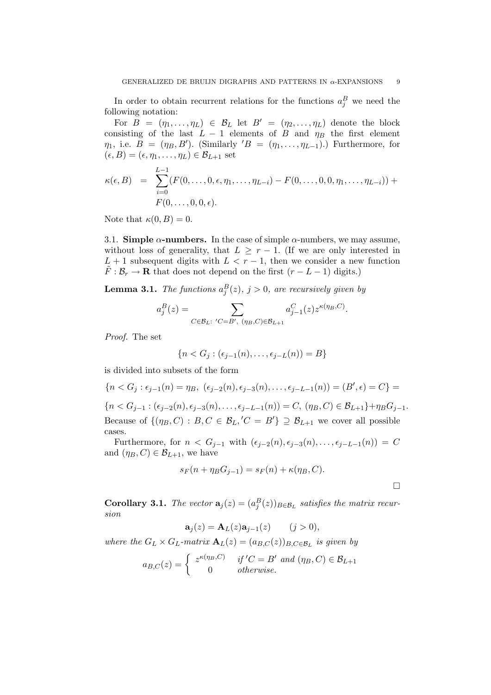In order to obtain recurrent relations for the functions  $a_j^B$  we need the following notation:

For  $B = (\eta_1, \ldots, \eta_L) \in \mathcal{B}_L$  let  $B' = (\eta_2, \ldots, \eta_L)$  denote the block consisting of the last  $L - 1$  elements of B and  $\eta_B$  the first element  $\eta_1$ , i.e.  $B = (\eta_B, B')$ . (Similarly ' $B = (\eta_1, \ldots, \eta_{L-1})$ .) Furthermore, for  $(\epsilon, B) = (\epsilon, \eta_1, \ldots, \eta_L) \in \mathcal{B}_{L+1}$  set

$$
\kappa(\epsilon, B) = \sum_{i=0}^{L-1} (F(0, \ldots, 0, \epsilon, \eta_1, \ldots, \eta_{L-i}) - F(0, \ldots, 0, 0, \eta_1, \ldots, \eta_{L-i})) +
$$
  
 
$$
F(0, \ldots, 0, 0, \epsilon).
$$

Note that  $\kappa(0, B) = 0$ .

3.1. Simple  $\alpha$ -numbers. In the case of simple  $\alpha$ -numbers, we may assume, without loss of generality, that  $L \geq r - 1$ . (If we are only interested in  $L + 1$  subsequent digits with  $L < r - 1$ , then we consider a new function  $F : \mathcal{B}_r \to \mathbf{R}$  that does not depend on the first  $(r - L - 1)$  digits.)

**Lemma 3.1.** The functions  $a_j^B(z)$ ,  $j > 0$ , are recursively given by

$$
a_j^B(z)=\sum_{C\in\mathcal{B}_L:\ C=B',\ (\eta_B,C)\in\mathcal{B}_{L+1}}a_{j-1}^C(z)z^{\kappa(\eta_B,C)}.
$$

Proof. The set

cases.

$$
\{n < G_j : (\epsilon_{j-1}(n), \ldots, \epsilon_{j-L}(n)) = B\}
$$

is divided into subsets of the form

$$
\{n < G_j : \epsilon_{j-1}(n) = \eta_B, \ (\epsilon_{j-2}(n), \epsilon_{j-3}(n), \dots, \epsilon_{j-L-1}(n)) = (B', \epsilon) = C\} =
$$
  

$$
\{n < G_{j-1} : (\epsilon_{j-2}(n), \epsilon_{j-3}(n), \dots, \epsilon_{j-L-1}(n)) = C, \ (\eta_B, C) \in \mathcal{B}_{L+1}\} + \eta_B G_{j-1}.
$$
  
Because of  $\{(\eta_B, C) : B, C \in \mathcal{B}_L, C = B'\} \supseteq \mathcal{B}_{L+1}$  we cover all possible

Furthermore, for  $n < G_{j-1}$  with  $(\epsilon_{j-2}(n), \epsilon_{j-3}(n), \ldots, \epsilon_{j-L-1}(n)) = C$ and  $(\eta_B, C) \in \mathcal{B}_{L+1}$ , we have

$$
s_F(n + \eta_B G_{j-1}) = s_F(n) + \kappa(\eta_B, C).
$$

 $\Box$ 

**Corollary 3.1.** The vector  $\mathbf{a}_j(z) = (a_j^B(z))_{B \in \mathcal{B}_L}$  satisfies the matrix recursion

$$
\mathbf{a}_j(z) = \mathbf{A}_L(z)\mathbf{a}_{j-1}(z) \qquad (j>0),
$$

where the  $G_L \times G_L$ -matrix  $\mathbf{A}_L(z) = (a_{B,C}(z))_{B,C \in \mathcal{B}_L}$  is given by

$$
a_{B,C}(z) = \begin{cases} z^{\kappa(\eta_B,C)} & \text{if } C = B' \text{ and } (\eta_B,C) \in \mathcal{B}_{L+1} \\ 0 & \text{otherwise.} \end{cases}
$$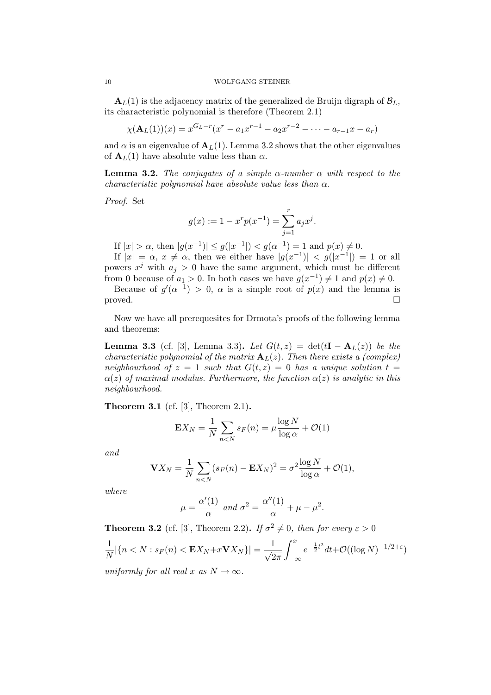$\mathbf{A}_L(1)$  is the adjacency matrix of the generalized de Bruijn digraph of  $\mathcal{B}_L$ , its characteristic polynomial is therefore (Theorem 2.1)

$$
\chi(\mathbf{A}_L(1))(x) = x^{G_L - r}(x^r - a_1x^{r-1} - a_2x^{r-2} - \dots - a_{r-1}x - a_r)
$$

and  $\alpha$  is an eigenvalue of  $A_L(1)$ . Lemma 3.2 shows that the other eigenvalues of  $A_L(1)$  have absolute value less than  $\alpha$ .

**Lemma 3.2.** The conjugates of a simple  $\alpha$ -number  $\alpha$  with respect to the characteristic polynomial have absolute value less than  $\alpha$ .

Proof. Set

$$
g(x) := 1 - x^{r} p(x^{-1}) = \sum_{j=1}^{r} a_{j} x^{j}.
$$

If  $|x| > \alpha$ , then  $|g(x^{-1})| \le g(|x^{-1}|) < g(\alpha^{-1}) = 1$  and  $p(x) \ne 0$ .

If  $|x| = \alpha$ ,  $x \neq \alpha$ , then we either have  $|g(x^{-1})| < g(|x^{-1}|) = 1$  or all powers  $x^j$  with  $a_j > 0$  have the same argument, which must be different from 0 because of  $a_1 > 0$ . In both cases we have  $g(x^{-1}) \neq 1$  and  $p(x) \neq 0$ .

Because of  $g'(\alpha^{-1}) > 0$ ,  $\alpha$  is a simple root of  $p(x)$  and the lemma is proved.  $\Box$ 

Now we have all prerequesites for Drmota's proofs of the following lemma and theorems:

**Lemma 3.3** (cf. [3], Lemma 3.3). Let  $G(t, z) = det(tI - A_L(z))$  be the characteristic polynomial of the matrix  $A_L(z)$ . Then there exists a (complex) neighbourhood of  $z = 1$  such that  $G(t, z) = 0$  has a unique solution  $t =$  $\alpha(z)$  of maximal modulus. Furthermore, the function  $\alpha(z)$  is analytic in this neighbourhood.

Theorem 3.1 (cf. [3], Theorem 2.1).

$$
\mathbf{E}X_N = \frac{1}{N} \sum_{n < N} s_F(n) = \mu \frac{\log N}{\log \alpha} + \mathcal{O}(1)
$$

and

$$
\mathbf{V}X_N = \frac{1}{N} \sum_{n < N} (s_F(n) - \mathbf{E}X_N)^2 = \sigma^2 \frac{\log N}{\log \alpha} + \mathcal{O}(1),
$$

where

$$
\mu = \frac{\alpha'(1)}{\alpha} \text{ and } \sigma^2 = \frac{\alpha''(1)}{\alpha} + \mu - \mu^2.
$$

**Theorem 3.2** (cf. [3], Theorem 2.2). If  $\sigma^2 \neq 0$ , then for every  $\varepsilon > 0$ 1 1  $\int f(x)$  $-\frac{1}{2}$ t 2

$$
\frac{1}{N}|\{n < N : s_F(n) < \mathbf{E}X_N + x\mathbf{V}X_N\}| = \frac{1}{\sqrt{2\pi}} \int_{-\infty} e^{-\frac{1}{2}t^2} dt + \mathcal{O}((\log N)^{-1/2+\varepsilon})
$$

uniformly for all real x as  $N \to \infty$ .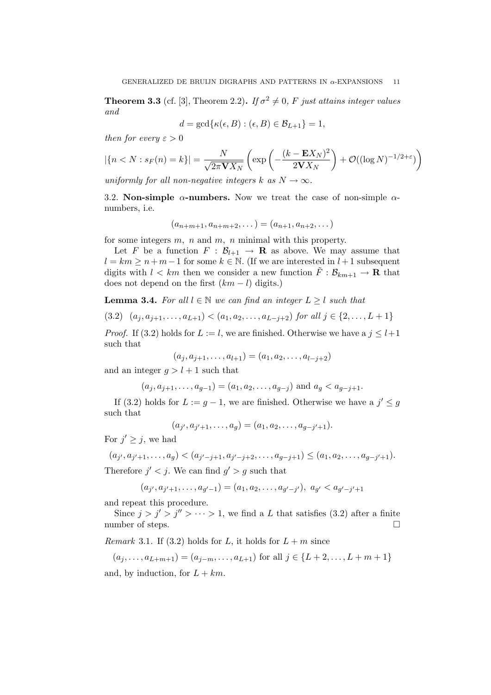**Theorem 3.3** (cf. [3], Theorem 2.2). If  $\sigma^2 \neq 0$ , F just attains integer values and

$$
d = \gcd\{\kappa(\epsilon, B) : (\epsilon, B) \in \mathcal{B}_{L+1}\} = 1,
$$

then for every  $\varepsilon > 0$ 

$$
|\{n < N : s_F(n) = k\}| = \frac{N}{\sqrt{2\pi \mathbf{V} X_N}} \left( \exp\left(-\frac{(k - \mathbf{E} X_N)^2}{2\mathbf{V} X_N}\right) + \mathcal{O}((\log N)^{-1/2 + \varepsilon})\right)
$$

uniformly for all non-negative integers k as  $N \to \infty$ .

3.2. Non-simple  $\alpha$ -numbers. Now we treat the case of non-simple  $\alpha$ numbers, i.e.

$$
(a_{n+m+1}, a_{n+m+2}, \dots) = (a_{n+1}, a_{n+2}, \dots)
$$

for some integers  $m$ ,  $n$  and  $m$ ,  $n$  minimal with this property.

Let F be a function  $F : \mathcal{B}_{l+1} \to \mathbf{R}$  as above. We may assume that  $l = km \geq n+m-1$  for some  $k \in \mathbb{N}$ . (If we are interested in  $l+1$  subsequent digits with  $l < km$  then we consider a new function  $\tilde{F}: \mathcal{B}_{km+1} \to \mathbf{R}$  that does not depend on the first  $(km - l)$  digits.)

**Lemma 3.4.** For all  $l \in \mathbb{N}$  we can find an integer  $L \geq l$  such that

$$
(3.2) (a_j, a_{j+1}, \dots, a_{L+1}) < (a_1, a_2, \dots, a_{L-j+2}) \text{ for all } j \in \{2, \dots, L+1\}
$$

*Proof.* If (3.2) holds for  $L := l$ , we are finished. Otherwise we have a  $j \leq l+1$ such that

$$
(a_j, a_{j+1}, \dots, a_{l+1}) = (a_1, a_2, \dots, a_{l-j+2})
$$

and an integer  $g > l + 1$  such that

$$
(a_j, a_{j+1}, \ldots, a_{g-1}) = (a_1, a_2, \ldots, a_{g-j})
$$
 and  $a_g < a_{g-j+1}$ .

If (3.2) holds for  $L := g - 1$ , we are finished. Otherwise we have a  $j' \leq g$ such that

$$
(a_{j'}, a_{j'+1}, \ldots, a_g) = (a_1, a_2, \ldots, a_{g-j'+1}).
$$

For  $j' \geq j$ , we had

$$
(a_{j'}, a_{j'+1}, \ldots, a_g) < (a_{j'-j+1}, a_{j'-j+2}, \ldots, a_{g-j+1}) \le (a_1, a_2, \ldots, a_{g-j'+1}).
$$

Therefore  $j' < j$ . We can find  $g' > g$  such that

$$
(a_{j'}, a_{j'+1}, \dots, a_{g'-1}) = (a_1, a_2, \dots, a_{g'-j'}), a_{g'} < a_{g'-j'+1}
$$

and repeat this procedure.

Since  $j > j' > j'' > \cdots > 1$ , we find a L that satisfies (3.2) after a finite number of steps.

*Remark* 3.1. If (3.2) holds for L, it holds for  $L + m$  since

$$
(a_j, \ldots, a_{L+m+1}) = (a_{j-m}, \ldots, a_{L+1})
$$
 for all  $j \in \{L+2, \ldots, L+m+1\}$ 

and, by induction, for  $L + km$ .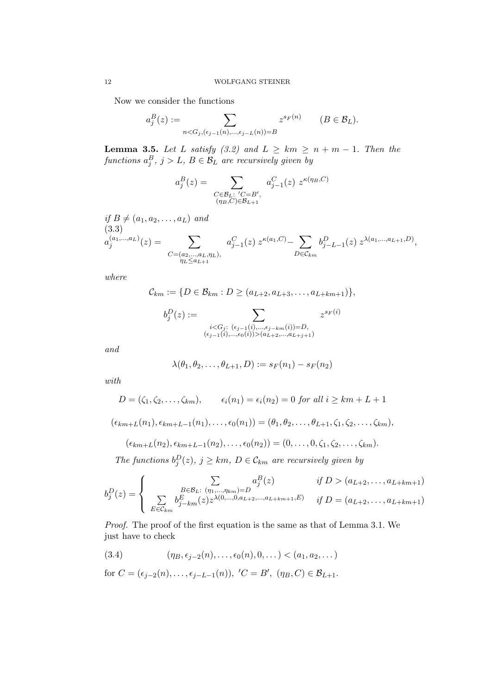Now we consider the functions

$$
a_j^B(z) := \sum_{n < G_j, (\epsilon_{j-1}(n), \dots, \epsilon_{j-L}(n)) = B} z^{s_F(n)} \qquad (B \in \mathcal{B}_L).
$$

**Lemma 3.5.** Let L satisfy (3.2) and  $L \geq km \geq n + m - 1$ . Then the functions  $a_j^B$ ,  $j > L$ ,  $B \in \mathcal{B}_L$  are recursively given by

$$
a_j^B(z) = \sum_{\substack{C \in \mathcal{B}_L:\ C = B',\\ (\eta_B, C) \in \mathcal{B}_{L+1}}} a_{j-1}^C(z) z^{\kappa(\eta_B, C)}
$$

if  $B \neq (a_1, a_2, \ldots, a_L)$  and (3.3)  $a_i^{(a_1,...,a_L)}$  $\binom{(a_1,...,a_L)}{j}(z) = \qquad \qquad \sum$  $C=(a_2,...,a_L,\eta_L),$ <br> $\eta_L \le a_{L+1}$  $a_{j-1}^C(z) \; z^{\kappa(a_1,C)} - \; \sum$  $D \in \mathcal{C}_{km}$  $b_{j-L-1}^D(z) z^{\lambda(a_1,...,a_{L+1},D)},$ 

where

$$
C_{km} := \{ D \in \mathcal{B}_{km} : D \ge (a_{L+2}, a_{L+3}, \dots, a_{L+km+1}) \},\
$$

$$
b_j^D(z) := \sum_{\substack{i < G_j: \ (e_{j-1}(i), \dots, e_{j-km}(i)) = D, \\ (e_{j-1}(i), \dots, e_0(i)) > (a_{L+2}, \dots, a_{L+j+1})}} z^{s_F(i)}
$$

and

$$
\lambda(\theta_1, \theta_2, \dots, \theta_{L+1}, D) := s_F(n_1) - s_F(n_2)
$$

with

$$
D = (\zeta_1, \zeta_2, \dots, \zeta_{km}), \qquad \epsilon_i(n_1) = \epsilon_i(n_2) = 0 \text{ for all } i \geq km + L + 1
$$

$$
(\epsilon_{km+L}(n_1), \epsilon_{km+L-1}(n_1), \ldots, \epsilon_0(n_1)) = (\theta_1, \theta_2, \ldots, \theta_{L+1}, \zeta_1, \zeta_2, \ldots, \zeta_{km}),
$$

$$
(\epsilon_{km+L}(n_2),\epsilon_{km+L-1}(n_2),\ldots,\epsilon_0(n_2))=(0,\ldots,0,\zeta_1,\zeta_2,\ldots,\zeta_{km}).
$$

The functions  $b_j^D(z)$ ,  $j \geq km$ ,  $D \in \mathcal{C}_{km}$  are recursively given by

$$
b_j^D(z) = \begin{cases} \sum_{B \in \mathcal{B}_L: (n_1, \dots, n_{km}) = D} a_j^B(z) & \text{if } D > (a_{L+2}, \dots, a_{L+km+1})\\ \sum_{E \in \mathcal{C}_{km}} b_{j-km}^E(z) z^{\lambda(0, \dots, 0, a_{L+2}, \dots, a_{L+km+1}, E)} & \text{if } D = (a_{L+2}, \dots, a_{L+km+1}) \end{cases}
$$

Proof. The proof of the first equation is the same as that of Lemma 3.1. We just have to check

(3.4) 
$$
(\eta_B, \epsilon_{j-2}(n), \ldots, \epsilon_0(n), 0, \ldots) < (a_1, a_2, \ldots)
$$

for 
$$
C = (\epsilon_{j-2}(n), \ldots, \epsilon_{j-L-1}(n)), C = B', (\eta_B, C) \in \mathcal{B}_{L+1}.
$$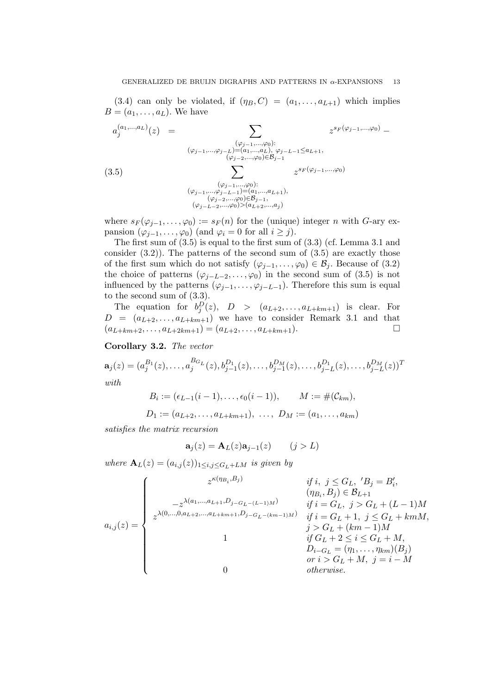(3.4) can only be violated, if  $(\eta_B, C) = (a_1, \ldots, a_{L+1})$  which implies  $B = (a_1, \ldots, a_L)$ . We have

$$
a_j^{(a_1,...,a_L)}(z) = \sum_{\substack{(\varphi_{j-1},...,\varphi_0):\\(\varphi_{j-1},...,\varphi_j) = (a_1,...,a_L),\\(\varphi_{j-2},...,\varphi_0) \in \mathcal{B}_{j-1}}} z^{s_F(\varphi_{j-1},...,\varphi_0)} - \sum_{\substack{(\varphi_{j-1},...,\varphi_0):\\(\varphi_{j-2},...,\varphi_0) \in \mathcal{B}_{j-1}}} z^{s_F(\varphi_{j-1},...,\varphi_0)} - \sum_{\substack{(\varphi_{j-1},...,\varphi_0):\\(\varphi_{j-1},...,\varphi_{j-L-1}) = (a_1,...,a_{L+1}),\\(\varphi_{j-2},...,\varphi_0) \in \mathcal{B}_{j-1},\\(\varphi_{j-L-2},...,\varphi_0) > (a_{L+2},...,a_j)} z^{s_F(\varphi_{j-1},...,\varphi_0)}
$$

where  $s_F(\varphi_{j-1},\ldots,\varphi_0) := s_F(n)$  for the (unique) integer n with G-ary expansion  $(\varphi_{j-1}, \ldots, \varphi_0)$  (and  $\varphi_i = 0$  for all  $i \geq j$ ).

The first sum of (3.5) is equal to the first sum of (3.3) (cf. Lemma 3.1 and consider  $(3.2)$ ). The patterns of the second sum of  $(3.5)$  are exactly those of the first sum which do not satisfy  $(\varphi_{j-1}, \ldots, \varphi_0) \in \mathcal{B}_j$ . Because of (3.2) the choice of patterns  $(\varphi_{j-L-2}, \ldots, \varphi_0)$  in the second sum of (3.5) is not influenced by the patterns  $(\varphi_{j-1}, \ldots, \varphi_{j-L-1})$ . Therefore this sum is equal to the second sum of (3.3).

The equation for  $b_j^D(z)$ ,  $D > (a_{L+2},...,a_{L+km+1})$  is clear. For  $D = (a_{L+2}, \ldots, a_{L+km+1})$  we have to consider Remark 3.1 and that  $(a_{L+km+2}, \ldots, a_{L+2km+1}) = (a_{L+2}, \ldots, a_{L+km+1}).$ 

Corollary 3.2. The vector

$$
\mathbf{a}_{j}(z) = (a_{j}^{B_{1}}(z), \ldots, a_{j}^{B_{G_{L}}}(z), b_{j-1}^{D_{1}}(z), \ldots, b_{j-1}^{D_{M}}(z), \ldots, b_{j-L}^{D_{1}}(z), \ldots, b_{j-L}^{D_{M}}(z))^{T}
$$
  
with

$$
B_i := (\epsilon_{L-1}(i-1), \dots, \epsilon_0(i-1)), \qquad M := \#(\mathcal{C}_{km}),
$$
  

$$
D_1 := (a_{L+2}, \dots, a_{L+km+1}), \dots, D_M := (a_1, \dots, a_{km})
$$

$$
D_1 := (a_{L+2}, \ldots, a_{L+km+1}), \ \ldots, \ D_M := (a_1, \ldots)
$$

satisfies the matrix recursion

$$
\mathbf{a}_j(z) = \mathbf{A}_L(z)\mathbf{a}_{j-1}(z) \qquad (j > L)
$$

where  $\mathbf{A}_L(z) = (a_{i,j}(z))_{1 \le i,j \le G_L+LM}$  is given by

$$
a_{i,j}(z) = \begin{cases} z^{\kappa(\eta_{B_i}, B_j)} & \text{if } i, j \leq G_L, \, 'B_j = B_i', \\ ( \eta_{B_i}, B_j ) \in \mathcal{B}_{L+1} \\ z^{\lambda(0, \ldots, 0, a_{L+2}, \ldots, a_{L+km+1}, D_j - G_L - (k-m-1)M)} & \text{if } i = G_L, \, j > G_L + (L-1)M \\ 1 & \text{if } i = G_L + 1, \, j \leq G_L + kmM, \\ 1 & \text{if } G_L + 2 \leq i \leq G_L + M, \\ 0 & \text{if } G_L + 2 \leq i \leq G_L + M, \\ 0 & \text{otherwise.} \end{cases}
$$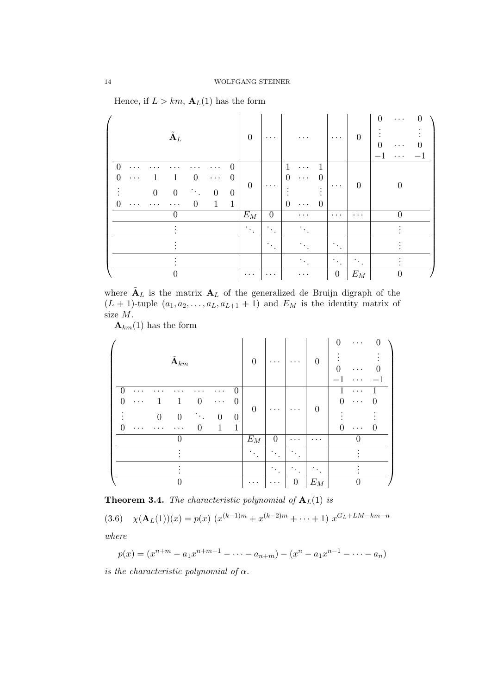Hence, if  $L > km$ ,  $\mathbf{A}_{L}(1)$  has the form

| $\tilde{\textbf{A}}_L$                                                                                                                                                                                                                              | $\Omega$                | $\cdots$                     |                                                                                                                                            | $\cdots$                                  | $\theta$             | $\Omega$<br>$\cdots$<br>$\mathbf{0}$<br>$\cdots$<br>. |
|-----------------------------------------------------------------------------------------------------------------------------------------------------------------------------------------------------------------------------------------------------|-------------------------|------------------------------|--------------------------------------------------------------------------------------------------------------------------------------------|-------------------------------------------|----------------------|-------------------------------------------------------|
| $\overline{0}$<br>$\left( \right)$<br>$\cdots$<br>$\Omega$<br>$\theta$<br>$\Omega$<br>1<br>.<br>$\ddots$<br>$\boldsymbol{0}$<br>$\mathcal{O}(\mathcal{E})$<br>$\boldsymbol{0}$<br>$\theta$<br>$\overline{0}$<br>$\mathbf{1}$<br>0<br>$\ddotsc$<br>. | $\overline{0}$<br>$E_M$ | $\cdots$<br>$\boldsymbol{0}$ | $\mathbf{1}$<br>1<br>$\cdots$<br>$\Omega$<br>$\theta$<br>$\cdots$<br>$\bullet$<br>$\bullet$<br>$\bullet$<br>0<br>0<br>$\cdots$<br>$\cdots$ | $\cdots$<br>$\cdots$                      | $\theta$<br>$\cdots$ | $\theta$                                              |
|                                                                                                                                                                                                                                                     | $\gamma_{\rm{th}}$      | ٠<br>$\bullet$               |                                                                                                                                            |                                           |                      |                                                       |
|                                                                                                                                                                                                                                                     |                         | $\bullet$<br>$\bullet$       |                                                                                                                                            | ٠<br>$\mathcal{F}_{\mathcal{A}}$ .        |                      |                                                       |
|                                                                                                                                                                                                                                                     |                         |                              |                                                                                                                                            | $\mathcal{F}_{\mathcal{F}_{\mathcal{F}}}$ | $\bullet$            |                                                       |
|                                                                                                                                                                                                                                                     | $\cdots$                | $\cdots$                     | $\cdots$                                                                                                                                   | $\boldsymbol{0}$                          | $E_M$                | 0                                                     |

where  $\tilde{A}_L$  is the matrix  $A_L$  of the generalized de Bruijn digraph of the  $(L + 1)$ -tuple  $(a_1, a_2, \ldots, a_L, a_{L+1} + 1)$  and  $E_M$  is the identity matrix of size M.

 $\mathbf{A}_{km}(1)$  has the form

| $\tilde{\mathbf{A}}_{km}$                                                                                          |                                                                                            | $\Omega$           | $\cdots$                                                  | $\ddot{\phantom{a}}$ | $\overline{0}$   | $\overline{0}$<br>$\boldsymbol{0}$<br>$\cdots$<br>$\Omega$<br>. |
|--------------------------------------------------------------------------------------------------------------------|--------------------------------------------------------------------------------------------|--------------------|-----------------------------------------------------------|----------------------|------------------|-----------------------------------------------------------------|
| $\theta$<br>$\theta$<br>1<br>$\Omega$<br>1<br>$\ddotsc$<br>$\overline{0}$<br>$\overline{0}$<br>$\overline{0}$<br>0 | $\overline{0}$<br>.<br>$\overline{0}$<br>.<br>$\overline{0}$<br>$\boldsymbol{0}$<br>1<br>1 | $\overline{0}$     | $\cdots$                                                  | $\cdots$             | $\boldsymbol{0}$ | 1<br>.<br>$\Omega$<br>0<br>$\cdots$<br>$\Omega$<br>0<br>.       |
| $\theta$                                                                                                           |                                                                                            | $\mathcal{E}_M$    | $\boldsymbol{0}$                                          | .                    | .                |                                                                 |
|                                                                                                                    |                                                                                            | $\gamma_{\rm eff}$ | $\bullet$<br>$\ddot{\phantom{0}}$<br>$\ddot{\phantom{0}}$ |                      |                  |                                                                 |
|                                                                                                                    |                                                                                            |                    | ٠<br>$\cdot$<br>$\bullet$                                 | $\bullet$            |                  |                                                                 |
| $\Omega$                                                                                                           |                                                                                            | $\cdots$           | $\cdots$                                                  | $\boldsymbol{0}$     | $\mathcal{E}_M$  |                                                                 |

**Theorem 3.4.** The characteristic polynomial of  $A_L(1)$  is

 $(3.6)$   $\chi(\mathbf{A}_L(1))(x) = p(x) (x^{(k-1)m} + x^{(k-2)m} + \cdots + 1) x^{G_L + LM - km - n}$ where

 $p(x) = (x^{n+m} - a_1x^{n+m-1} - \cdots - a_{n+m}) - (x^n - a_1x^{n-1} - \cdots - a_n)$ 

is the characteristic polynomial of  $\alpha$ .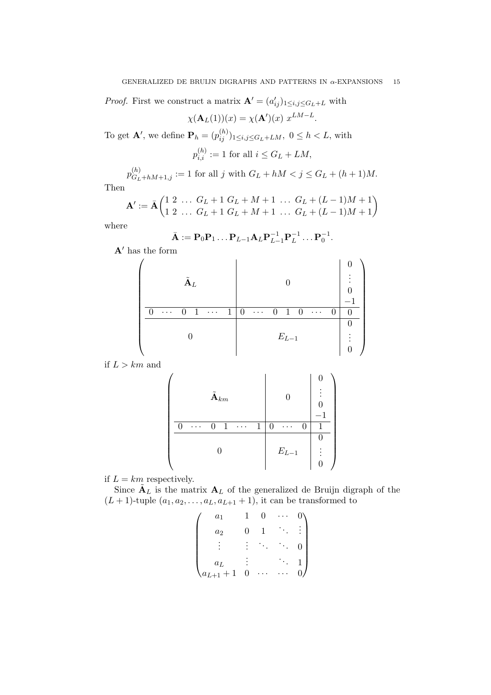*Proof.* First we construct a matrix  $\mathbf{A}' = (a'_{ij})_{1 \leq i,j \leq G_L + L}$  with

$$
\chi(\mathbf{A}_L(1))(x) = \chi(\mathbf{A}')(x) \ x^{LM-L}.
$$

To get **A'**, we define  $\mathbf{P}_h = (p_{ij}^{(h)})_{1 \le i,j \le G_L + LM}$ ,  $0 \le h < L$ , with

$$
p_{i,i}^{(h)} := 1
$$
 for all  $i \le G_L + LM$ ,

 $p_{G_L+hM+1,j}^{(h)} := 1$  for all j with  $G_L + hM < j \le G_L + (h+1)M$ .

Then

$$
\mathbf{A}' := \bar{\mathbf{A}} \begin{pmatrix} 1 & 2 & \dots & G_L + 1 & G_L + M + 1 & \dots & G_L + (L - 1)M + 1 \\ 1 & 2 & \dots & G_L + 1 & G_L + M + 1 & \dots & G_L + (L - 1)M + 1 \end{pmatrix}
$$

where

$$
\bar{\mathbf{A}} := \mathbf{P}_0 \mathbf{P}_1 \dots \mathbf{P}_{L-1} \mathbf{A}_L \mathbf{P}_{L-1}^{-1} \mathbf{P}_L^{-1} \dots \mathbf{P}_0^{-1}.
$$

 $\mathbf{A}'$  has the form

| $\tilde{\textbf{A}}_L$                                                         |                                                                     | ٠<br>$\overline{\phantom{0}}$ |
|--------------------------------------------------------------------------------|---------------------------------------------------------------------|-------------------------------|
| $\mathbf{1}$<br>$\mathbf{1}$<br>0<br>$\mathbf{\Omega}$<br>$\ldots$<br>$\cdots$ | 0<br>-1<br>$\Omega$<br>$\theta$<br>$\theta$<br>$\ldots$<br>$\ldots$ | $\theta$                      |
|                                                                                |                                                                     |                               |
|                                                                                | $E_{L-1}$                                                           |                               |
|                                                                                |                                                                     |                               |

if  $L > km$  and

$$
\left(\begin{array}{c|c} \hat{\mathbf{A}}_{km} & \mathbf{0} & \begin{array}{c} \mathbf{0} \\ \vdots \\ \mathbf{0} \end{array} \\ \hline \begin{array}{ccc|ccc} \mathbf{0} & \mathbf{0} & \mathbf{0} & \mathbf{0} \\ \hline \mathbf{0} & \cdots & \mathbf{0} & \mathbf{1} & \cdots & \mathbf{0} & \mathbf{0} \\ \hline \mathbf{0} & \mathbf{0} & \mathbf{0} & \mathbf{0} & \mathbf{0} \\ \hline \mathbf{0} & \mathbf{0} & \mathbf{0} & \mathbf{0} & \mathbf{0} \\ \hline \end{array}\right)
$$

if  $L = km$  respectively.

Since  $\tilde{A}_L$  is the matrix  $A_L$  of the generalized de Bruijn digraph of the  $(L+1)$ -tuple  $(a_1, a_2, \ldots, a_L, a_{L+1}+1)$ , it can be transformed to

$$
\begin{pmatrix} a_1 & 1 & 0 & \cdots & 0 \\ a_2 & 0 & 1 & \ddots & \vdots \\ \vdots & \vdots & \ddots & \ddots & 0 \\ a_L & \vdots & & \ddots & 1 \\ a_{L+1}+1 & 0 & \cdots & \cdots & 0 \end{pmatrix}
$$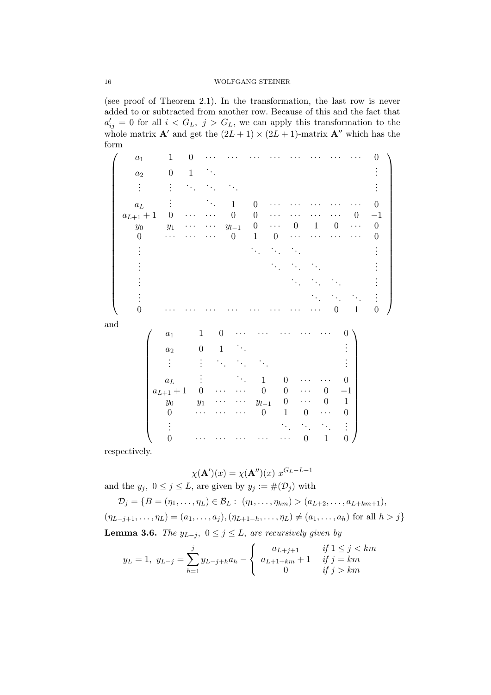(see proof of Theorem 2.1). In the transformation, the last row is never added to or subtracted from another row. Because of this and the fact that  $a'_{ij} = 0$  for all  $i < G_L$ ,  $j > G_L$ , we can apply this transformation to the whole matrix  $\mathbf{A}'$  and get the  $(2L + 1) \times (2L + 1)$ -matrix  $\mathbf{A}''$  which has the form

 $\sqrt{ }$  a<sup>1</sup> 1 0 · · · · · · · · · · · · · · · · · · · · · · · · 0  $a_2$  0 1  $\ddots$ . . . . . . . . . . . . . . . . . . . . .  $a_L$  :  $\therefore$  1 0 · · · · · · · · · · · 0  $a_{L+1}+1$  0 · · · · · 0 0 · · · · · · · · · · 0 -1  $y_0$   $y_1$  · · · · ·  $y_{l-1}$  0 · · · 0 1 0 · · · 0  $0 \qquad \cdots \qquad \cdots \qquad 0 \qquad 1 \qquad 0 \qquad \cdots \qquad \cdots \qquad \cdots \qquad 0$ . . . . . . . . . . . . . . . . . . . . . . . . . . . . . . . . . . . . . . . . . . . . . . . . . . . . . . . . . . . . 0 · · · · · · · · · · · · · · · · · · · · · · · · 0 1 0  $\setminus$  and  $\begin{pmatrix} a_1 & 1 & 0 & \cdots & \cdots & \cdots & \cdots & 0 \end{pmatrix}$   $a_2$  0 1  $\ddots$  : . . . . . . . . . . . . . . . . . .  $a_L$  :  $\therefore$  1 0  $\cdots$   $\cdots$  0  $a_{L+1}+1 \quad 0 \quad \cdots \quad \cdots \quad 0 \quad 0 \quad \cdots \quad 0 \quad -1$  $y_0$  y<sub>1</sub> · · · · · · y<sub>l-1</sub> 0 · · · 0 1  $0 \qquad \cdots \qquad \cdots \qquad 0 \qquad 1 \qquad 0 \qquad \cdots \qquad 0$ . . . . . . . . . . . . . . .  $0 \qquad \cdots \qquad \cdots \qquad \cdots \qquad \cdots \qquad 0 \qquad 1 \qquad 0$  $\setminus$ 

respectively.

$$
\chi(\mathbf{A}')(x) = \chi(\mathbf{A}'')(x) x^{G_L - L - 1}
$$

and the  $y_j, 0 \le j \le L$ , are given by  $y_j := \#(\mathcal{D}_j)$  with

 $\mathcal{D}_j = \{B = (\eta_1, \ldots, \eta_L) \in \mathcal{B}_L : (\eta_1, \ldots, \eta_{km}) > (a_{L+2}, \ldots, a_{L+km+1}),\}$  $(\eta_{L-j+1}, \ldots, \eta_L) = (a_1, \ldots, a_j), (\eta_{L+1-h}, \ldots, \eta_L) \neq (a_1, \ldots, a_h)$  for all  $h > j$ } **Lemma 3.6.** The  $y_{L-j}$ ,  $0 \le j \le L$ , are recursively given by

$$
y_L = 1, \ y_{L-j} = \sum_{h=1}^{j} y_{L-j+h} a_h - \begin{cases} a_{L+j+1} & \text{if } 1 \le j < km \\ a_{L+1+km} + 1 & \text{if } j = km \\ 0 & \text{if } j > km \end{cases}
$$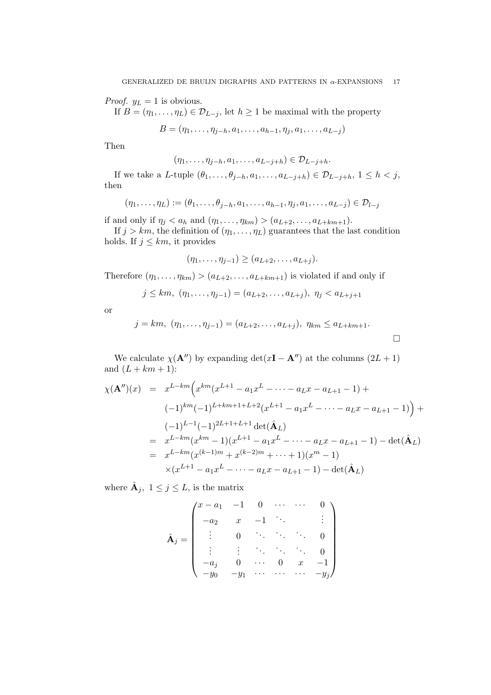*Proof.*  $y_L = 1$  is obvious.

If  $B = (\eta_1, \ldots, \eta_L) \in \mathcal{D}_{L-j}$ , let  $h \geq 1$  be maximal with the property

$$
B = (\eta_1, \ldots, \eta_{j-h}, a_1, \ldots, a_{h-1}, \eta_j, a_1, \ldots, a_{L-j})
$$

Then

$$
(\eta_1,\ldots,\eta_{j-h},a_1,\ldots,a_{L-j+h})\in \mathcal{D}_{L-j+h}.
$$

If we take a L-tuple  $(\theta_1, \ldots, \theta_{j-h}, a_1, \ldots, a_{L-j+h}) \in \mathcal{D}_{L-j+h}, 1 \leq h < j$ , then

$$
(\eta_1, ..., \eta_L) := (\theta_1, ..., \theta_{j-h}, a_1, ..., a_{h-1}, \eta_j, a_1, ..., a_{L-j}) \in \mathcal{D}_{l-j}
$$

if and only if  $\eta_j < a_h$  and  $(\eta_1, \ldots, \eta_{km}) > (a_{L+2}, \ldots, a_{L+km+1}).$ 

If  $j > km$ , the definition of  $(\eta_1, \ldots, \eta_L)$  guarantees that the last condition holds. If  $j \leq km$ , it provides

$$
(\eta_1,\ldots,\eta_{j-1})\geq (a_{L+2},\ldots,a_{L+j}).
$$

Therefore  $(\eta_1, \ldots, \eta_{km}) > (a_{L+2}, \ldots, a_{L+km+1})$  is violated if and only if

$$
j \leq km, \ (\eta_1, \ldots, \eta_{j-1}) = (a_{L+2}, \ldots, a_{L+j}), \ \eta_j < a_{L+j+1}
$$

or

$$
j = km, (\eta_1, ..., \eta_{j-1}) = (a_{L+2}, ..., a_{L+j}), \eta_{km} \le a_{L+km+1}.
$$

We calculate  $\chi(\mathbf{A}^{\prime\prime})$  by expanding det(x**I** − **A** $\prime\prime$ ) at the columns (2L + 1) and  $(L + km + 1)$ :

$$
\chi(\mathbf{A}'')(x) = x^{L-km} \Big( x^{km} (x^{L+1} - a_1 x^L - \dots - a_L x - a_{L+1} - 1) +
$$
  
\n
$$
(-1)^{km} (-1)^{L+km+1+L+2} (x^{L+1} - a_1 x^L - \dots - a_L x - a_{L+1} - 1) \Big) +
$$
  
\n
$$
(-1)^{L-1} (-1)^{2L+1+L+1} \det(\hat{\mathbf{A}}_L)
$$
  
\n
$$
= x^{L-km} (x^{km} - 1) (x^{L+1} - a_1 x^L - \dots - a_L x - a_{L+1} - 1) - \det(\hat{\mathbf{A}}_L)
$$
  
\n
$$
= x^{L-km} (x^{(k-1)m} + x^{(k-2)m} + \dots + 1) (x^m - 1)
$$
  
\n
$$
\times (x^{L+1} - a_1 x^L - \dots - a_L x - a_{L+1} - 1) - \det(\hat{\mathbf{A}}_L)
$$

where  $\hat{\mathbf{A}}_j, 1 \leq j \leq L$ , is the matrix

$$
\hat{\mathbf{A}}_{j} = \begin{pmatrix} x - a_{1} & -1 & 0 & \cdots & \cdots & 0 \\ -a_{2} & x & -1 & \ddots & & \vdots \\ \vdots & 0 & \ddots & \ddots & \ddots & 0 \\ \vdots & \vdots & \ddots & \ddots & \ddots & 0 \\ -a_{j} & 0 & \cdots & 0 & x & -1 \\ -y_{0} & -y_{1} & \cdots & \cdots & \cdots & -y_{j} \end{pmatrix}
$$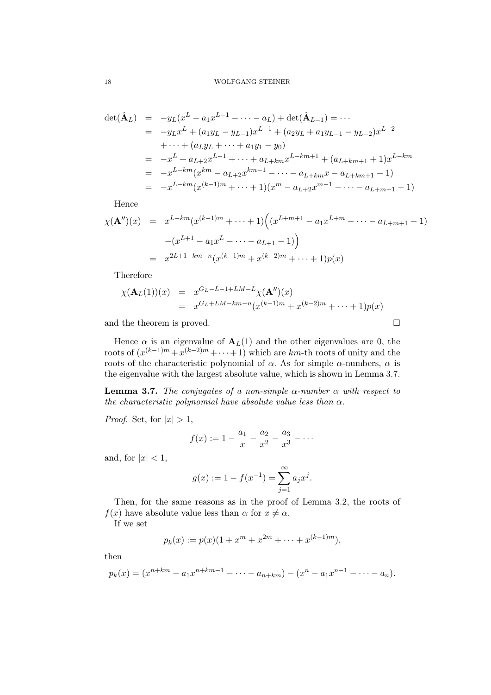$$
\begin{aligned}\n\det(\hat{\mathbf{A}}_L) &= -y_L(x^L - a_1 x^{L-1} - \dots - a_L) + \det(\hat{\mathbf{A}}_{L-1}) = \dots \\
&= -y_L x^L + (a_1 y_L - y_{L-1}) x^{L-1} + (a_2 y_L + a_1 y_{L-1} - y_{L-2}) x^{L-2} \\
&\quad + \dots + (a_L y_L + \dots + a_1 y_1 - y_0) \\
&= -x^L + a_{L+2} x^{L-1} + \dots + a_{L+km} x^{L-km+1} + (a_{L+km+1} + 1) x^{L-km} \\
&= -x^{L-km} (x^{km} - a_{L+2} x^{km-1} - \dots - a_{L+km} x - a_{L+km+1} - 1) \\
&= -x^{L-km} (x^{(k-1)m} + \dots + 1) (x^m - a_{L+2} x^{m-1} - \dots - a_{L+m+1} - 1)\n\end{aligned}
$$

Hence

$$
\chi(\mathbf{A}'')(x) = x^{L-km} (x^{(k-1)m} + \dots + 1) \Big( (x^{L+m+1} - a_1 x^{L+m} - \dots - a_{L+m+1} - 1)
$$

$$
- (x^{L+1} - a_1 x^L - \dots - a_{L+1} - 1) \Big)
$$

$$
= x^{2L+1-km-n} (x^{(k-1)m} + x^{(k-2)m} + \dots + 1) p(x)
$$

Therefore

$$
\chi(\mathbf{A}_L(1))(x) = x^{G_L - L - 1 + LM - L} \chi(\mathbf{A}'')(x)
$$
  
= 
$$
x^{G_L + LM - km - n} (x^{(k-1)m} + x^{(k-2)m} + \dots + 1) p(x)
$$

and the theorem is proved.  $\square$ 

Hence  $\alpha$  is an eigenvalue of  $A_L(1)$  and the other eigenvalues are 0, the roots of  $(x^{(k-1)m} + x^{(k-2)m} + \cdots + 1)$  which are km-th roots of unity and the roots of the characteristic polynomial of  $\alpha$ . As for simple  $\alpha$ -numbers,  $\alpha$  is the eigenvalue with the largest absolute value, which is shown in Lemma 3.7.

**Lemma 3.7.** The conjugates of a non-simple  $\alpha$ -number  $\alpha$  with respect to the characteristic polynomial have absolute value less than  $\alpha$ .

*Proof.* Set, for  $|x| > 1$ ,

$$
f(x) := 1 - \frac{a_1}{x} - \frac{a_2}{x^2} - \frac{a_3}{x^3} - \cdots
$$

and, for  $|x| < 1$ ,

$$
g(x) := 1 - f(x^{-1}) = \sum_{j=1}^{\infty} a_j x^j.
$$

Then, for the same reasons as in the proof of Lemma 3.2, the roots of  $f(x)$  have absolute value less than  $\alpha$  for  $x \neq \alpha$ .

If we set

$$
p_k(x) := p(x)(1 + x^m + x^{2m} + \dots + x^{(k-1)m}),
$$

then

$$
p_k(x) = (x^{n+km} - a_1 x^{n+km-1} - \dots - a_{n+km}) - (x^n - a_1 x^{n-1} - \dots - a_n).
$$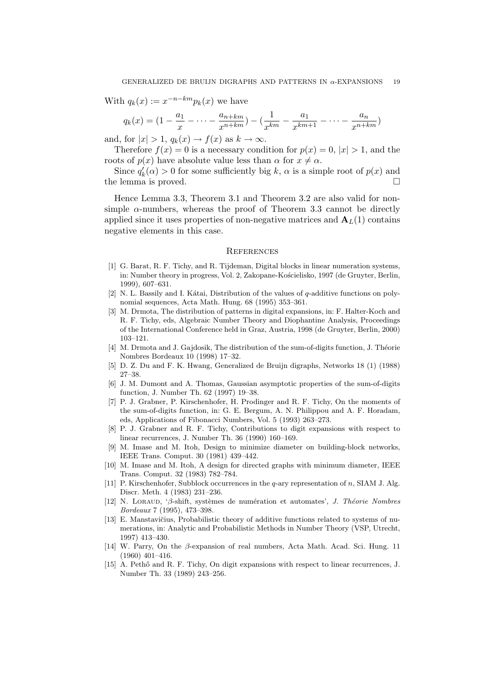With  $q_k(x) := x^{-n-km} p_k(x)$  we have

$$
q_k(x) = (1 - \frac{a_1}{x} - \dots - \frac{a_{n+km}}{x^{n+km}}) - (\frac{1}{x^{km}} - \frac{a_1}{x^{km+1}} - \dots - \frac{a_n}{x^{n+km}})
$$

and, for  $|x| > 1$ ,  $q_k(x) \rightarrow f(x)$  as  $k \rightarrow \infty$ .

Therefore  $f(x) = 0$  is a necessary condition for  $p(x) = 0$ ,  $|x| > 1$ , and the roots of  $p(x)$  have absolute value less than  $\alpha$  for  $x \neq \alpha$ .

Since  $q'_k(\alpha) > 0$  for some sufficiently big k,  $\alpha$  is a simple root of  $p(x)$  and the lemma is proved.

Hence Lemma 3.3, Theorem 3.1 and Theorem 3.2 are also valid for nonsimple  $\alpha$ -numbers, whereas the proof of Theorem 3.3 cannot be directly applied since it uses properties of non-negative matrices and  $A_L(1)$  contains negative elements in this case.

### **REFERENCES**

- [1] G. Barat, R. F. Tichy, and R. Tijdeman, Digital blocks in linear numeration systems, in: Number theory in progress, Vol. 2, Zakopane-Kościelisko, 1997 (de Gruyter, Berlin, 1999), 607–631.
- [2] N. L. Bassily and I. Kátai, Distribution of the values of  $q$ -additive functions on polynomial sequences, Acta Math. Hung. 68 (1995) 353–361.
- [3] M. Drmota, The distribution of patterns in digital expansions, in: F. Halter-Koch and R. F. Tichy, eds, Algebraic Number Theory and Diophantine Analysis, Proceedings of the International Conference held in Graz, Austria, 1998 (de Gruyter, Berlin, 2000) 103–121.
- [4] M. Drmota and J. Gajdosik, The distribution of the sum-of-digits function, J. Théorie Nombres Bordeaux 10 (1998) 17–32.
- [5] D. Z. Du and F. K. Hwang, Generalized de Bruijn digraphs, Networks 18 (1) (1988) 27–38.
- [6] J. M. Dumont and A. Thomas, Gaussian asymptotic properties of the sum-of-digits function, J. Number Th. 62 (1997) 19–38.
- [7] P. J. Grabner, P. Kirschenhofer, H. Prodinger and R. F. Tichy, On the moments of the sum-of-digits function, in: G. E. Bergum, A. N. Philippou and A. F. Horadam, eds, Applications of Fibonacci Numbers, Vol. 5 (1993) 263–273.
- [8] P. J. Grabner and R. F. Tichy, Contributions to digit expansions with respect to linear recurrences, J. Number Th. 36 (1990) 160–169.
- [9] M. Imase and M. Itoh, Design to minimize diameter on building-block networks, IEEE Trans. Comput. 30 (1981) 439–442.
- [10] M. Imase and M. Itoh, A design for directed graphs with minimum diameter, IEEE Trans. Comput. 32 (1983) 782–784.
- [11] P. Kirschenhofer, Subblock occurrences in the q-ary representation of n, SIAM J. Alg. Discr. Meth. 4 (1983) 231–236.
- [12] N. LORAUD, ' $\beta$ -shift, systèmes de numération et automates', J. Théorie Nombres Bordeaux 7 (1995), 473–398.
- [13] E. Manstavičius, Probabilistic theory of additive functions related to systems of numerations, in: Analytic and Probabilistic Methods in Number Theory (VSP, Utrecht, 1997) 413–430.
- [14] W. Parry, On the β-expansion of real numbers, Acta Math. Acad. Sci. Hung. 11 (1960) 401–416.
- [15] A. Peth˝o and R. F. Tichy, On digit expansions with respect to linear recurrences, J. Number Th. 33 (1989) 243–256.